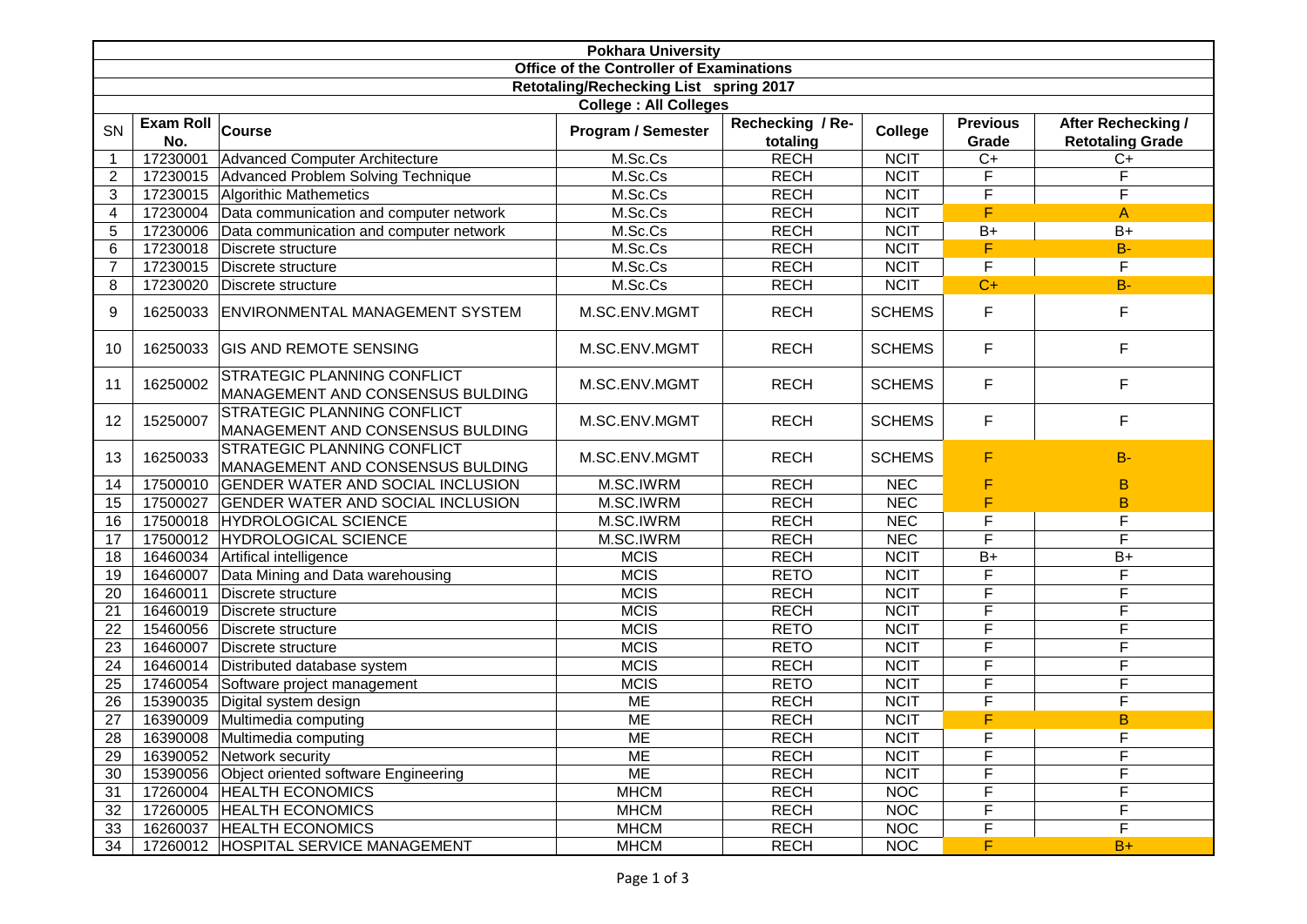| <b>Pokhara University</b>                |                         |                                                                        |                           |                              |                   |                          |                                               |  |
|------------------------------------------|-------------------------|------------------------------------------------------------------------|---------------------------|------------------------------|-------------------|--------------------------|-----------------------------------------------|--|
| Office of the Controller of Examinations |                         |                                                                        |                           |                              |                   |                          |                                               |  |
| Retotaling/Rechecking List spring 2017   |                         |                                                                        |                           |                              |                   |                          |                                               |  |
| <b>College: All Colleges</b>             |                         |                                                                        |                           |                              |                   |                          |                                               |  |
| <b>SN</b>                                | Exam Roll Course<br>No. |                                                                        | <b>Program / Semester</b> | Rechecking / Re-<br>totaling | College           | <b>Previous</b><br>Grade | After Rechecking /<br><b>Retotaling Grade</b> |  |
| $\overline{1}$                           | 17230001                | Advanced Computer Architecture                                         | M.Sc.Cs                   | <b>RECH</b>                  | <b>NCIT</b>       | $C+$                     | $C+$                                          |  |
| $\overline{c}$                           |                         | 17230015 Advanced Problem Solving Technique                            | M.Sc.Cs                   | <b>RECH</b>                  | <b>NCIT</b>       | F                        | F                                             |  |
| 3                                        |                         | 17230015 Algorithic Mathemetics                                        | M.Sc.Cs                   | <b>RECH</b>                  | <b>NCIT</b>       | F                        | F                                             |  |
| 4                                        | 17230004                | Data communication and computer network                                | M.Sc.Cs                   | <b>RECH</b>                  | <b>NCIT</b>       | F                        | A                                             |  |
| 5                                        | 17230006                | Data communication and computer network                                | M.Sc.Cs                   | <b>RECH</b>                  | <b>NCIT</b>       | $B+$                     | $B+$                                          |  |
| 6                                        | 17230018                | Discrete structure                                                     | M.Sc.Cs                   | <b>RECH</b>                  | <b>NCIT</b>       | F                        | $B -$                                         |  |
| $\overline{7}$                           | 17230015                | Discrete structure                                                     | M.Sc.Cs                   | <b>RECH</b>                  | <b>NCIT</b>       | F                        | $\mathsf{F}$                                  |  |
| 8                                        | 17230020                | Discrete structure                                                     | M.Sc.Cs                   | <b>RECH</b>                  | <b>NCIT</b>       | $C+$                     | $B -$                                         |  |
| 9                                        |                         | 16250033 ENVIRONMENTAL MANAGEMENT SYSTEM                               | M.SC.ENV.MGMT             | <b>RECH</b>                  | <b>SCHEMS</b>     | $\mathsf F$              | $\mathsf F$                                   |  |
| 10                                       | 16250033                | <b>GIS AND REMOTE SENSING</b>                                          | M.SC.ENV.MGMT             | <b>RECH</b>                  | <b>SCHEMS</b>     | $\mathsf F$              | $\mathsf F$                                   |  |
| 11                                       | 16250002                | STRATEGIC PLANNING CONFLICT<br>MANAGEMENT AND CONSENSUS BULDING        | M.SC.ENV.MGMT             | <b>RECH</b>                  | <b>SCHEMS</b>     | $\mathsf F$              | F                                             |  |
| 12                                       | 15250007                | STRATEGIC PLANNING CONFLICT<br>MANAGEMENT AND CONSENSUS BULDING        | M.SC.ENV.MGMT             | <b>RECH</b>                  | <b>SCHEMS</b>     | $\mathsf F$              | $\mathsf F$                                   |  |
| 13                                       | 16250033                | <b>STRATEGIC PLANNING CONFLICT</b><br>MANAGEMENT AND CONSENSUS BULDING | M.SC.ENV.MGMT             | <b>RECH</b>                  | <b>SCHEMS</b>     | F                        | $B -$                                         |  |
| 14                                       | 17500010                | <b>GENDER WATER AND SOCIAL INCLUSION</b>                               | M.SC.IWRM                 | <b>RECH</b>                  | <b>NEC</b>        | F                        | в                                             |  |
| 15                                       | 17500027                | <b>GENDER WATER AND SOCIAL INCLUSION</b>                               | M.SC.IWRM                 | <b>RECH</b>                  | <b>NEC</b>        | F                        | B                                             |  |
| 16                                       |                         | 17500018 HYDROLOGICAL SCIENCE                                          | M.SC.IWRM                 | <b>RECH</b>                  | <b>NEC</b>        | F                        | F                                             |  |
| 17                                       | 17500012                | HYDROLOGICAL SCIENCE                                                   | M.SC.IWRM                 | <b>RECH</b>                  | <b>NEC</b>        | F                        | F                                             |  |
| 18                                       | 16460034                | Artifical intelligence                                                 | <b>MCIS</b>               | <b>RECH</b>                  | <b>NCIT</b>       | $B+$                     | $B+$                                          |  |
| 19                                       | 16460007                | Data Mining and Data warehousing                                       | <b>MCIS</b>               | <b>RETO</b>                  | <b>NCIT</b>       | F                        | F                                             |  |
| 20                                       | 16460011                | Discrete structure                                                     | <b>MCIS</b>               | <b>RECH</b>                  | <b>NCIT</b>       | F                        | F                                             |  |
| 21                                       | 16460019                | Discrete structure                                                     | <b>MCIS</b>               | <b>RECH</b>                  | <b>NCIT</b>       | F                        | F                                             |  |
| 22                                       | 15460056                | Discrete structure                                                     | <b>MCIS</b>               | <b>RETO</b>                  | <b>NCIT</b>       | F                        | F                                             |  |
| 23                                       | 16460007                | Discrete structure                                                     | <b>MCIS</b>               | <b>RETO</b>                  | <b>NCIT</b>       | F                        | F                                             |  |
| 24                                       | 16460014                | Distributed database system                                            | <b>MCIS</b>               | <b>RECH</b>                  | <b>NCIT</b>       | $\mathsf F$              | F                                             |  |
| 25                                       | 17460054                | Software project management                                            | <b>MCIS</b>               | <b>RETO</b>                  | <b>NCIT</b>       | F                        | F                                             |  |
| 26                                       | 15390035                | Digital system design                                                  | <b>ME</b>                 | <b>RECH</b>                  | <b>NCIT</b>       | F                        | F                                             |  |
| 27                                       |                         | 16390009 Multimedia computing                                          | <b>ME</b>                 | <b>RECH</b>                  | <b>NCIT</b>       | F                        | $\overline{B}$                                |  |
| 28                                       |                         | 16390008 Multimedia computing                                          | <b>ME</b>                 | <b>RECH</b>                  | <b>NCIT</b>       | F.                       | $\bar{F}$                                     |  |
| 29                                       |                         | 16390052 Network security                                              | ME                        | <b>RECH</b>                  | <b>NCIT</b>       | F                        | F                                             |  |
| 30                                       |                         | 15390056 Object oriented software Engineering                          | <b>ME</b>                 | <b>RECH</b>                  | <b>NCIT</b>       | F                        | F                                             |  |
| 31                                       |                         | 17260004 HEALTH ECONOMICS                                              | <b>MHCM</b>               | <b>RECH</b>                  | <b>NOC</b>        | F                        | F                                             |  |
| 32                                       |                         | 17260005 HEALTH ECONOMICS                                              | <b>MHCM</b>               | <b>RECH</b>                  | <b>NOC</b>        | F                        | F                                             |  |
| 33                                       |                         | 16260037 HEALTH ECONOMICS                                              | <b>MHCM</b>               | <b>RECH</b>                  | <b>NOC</b>        | $\mathsf F$              | $\mathsf F$                                   |  |
| 34                                       |                         | 17260012 HOSPITAL SERVICE MANAGEMENT                                   | <b>MHCM</b>               | <b>RECH</b>                  | $\overline{N}$ OC | F                        | $B+$                                          |  |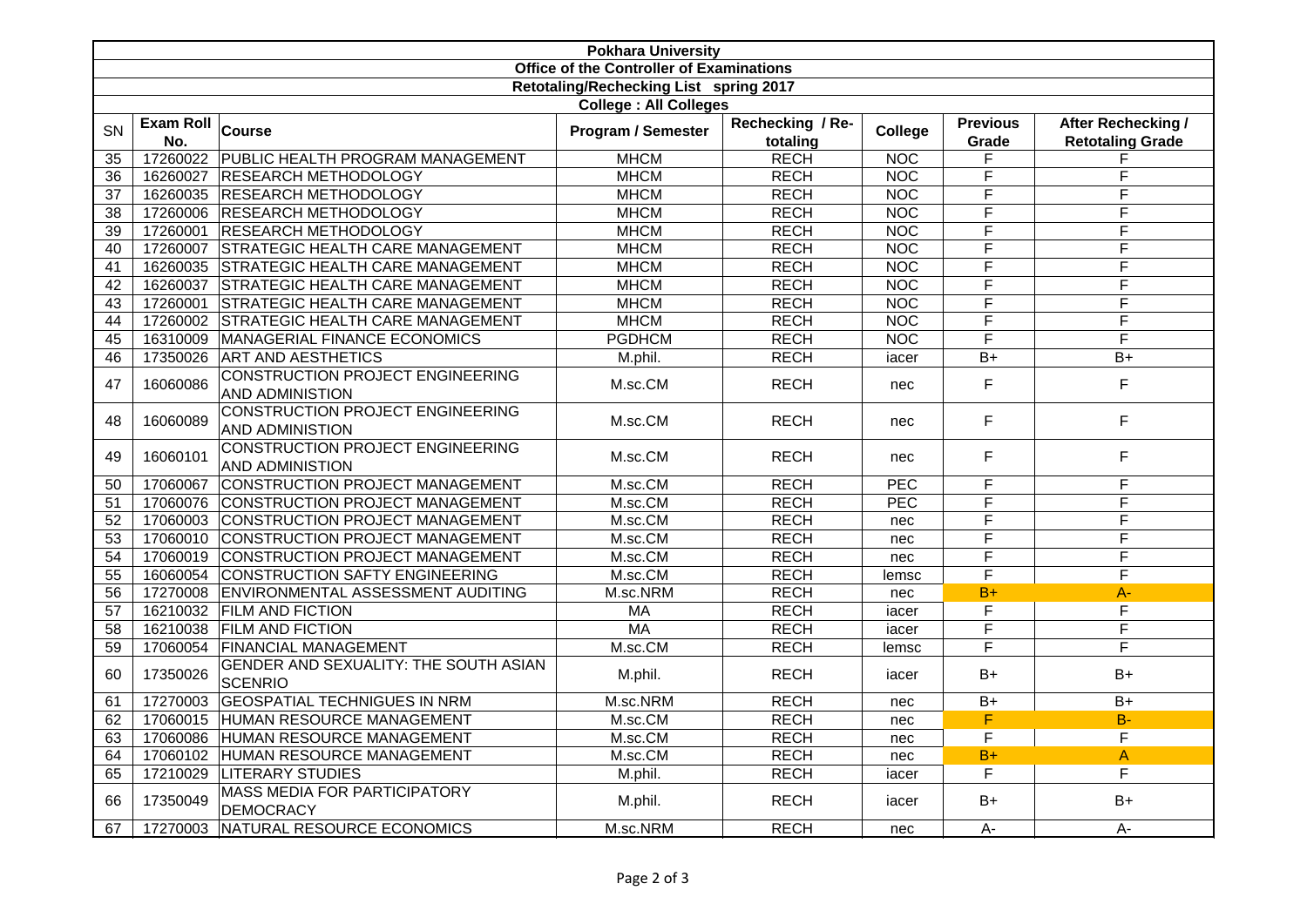| <b>Pokhara University</b>                |                         |                                                                   |                    |                              |                  |                          |                                               |  |
|------------------------------------------|-------------------------|-------------------------------------------------------------------|--------------------|------------------------------|------------------|--------------------------|-----------------------------------------------|--|
| Office of the Controller of Examinations |                         |                                                                   |                    |                              |                  |                          |                                               |  |
| Retotaling/Rechecking List spring 2017   |                         |                                                                   |                    |                              |                  |                          |                                               |  |
| <b>College: All Colleges</b>             |                         |                                                                   |                    |                              |                  |                          |                                               |  |
| SN                                       | <b>Exam Roll</b><br>No. | Course                                                            | Program / Semester | Rechecking / Re-<br>totaling | College          | <b>Previous</b><br>Grade | After Rechecking /<br><b>Retotaling Grade</b> |  |
| 35                                       |                         | 17260022 PUBLIC HEALTH PROGRAM MANAGEMENT                         | <b>MHCM</b>        | <b>RECH</b>                  | <b>NOC</b>       | F                        | F                                             |  |
| 36                                       |                         | 16260027 RESEARCH METHODOLOGY                                     | <b>MHCM</b>        | <b>RECH</b>                  | <b>NOC</b>       | $\overline{\mathsf{F}}$  | F                                             |  |
| 37                                       |                         | 16260035 RESEARCH METHODOLOGY                                     | <b>MHCM</b>        | <b>RECH</b>                  | <b>NOC</b>       | F                        | F                                             |  |
| 38                                       |                         | 17260006 RESEARCH METHODOLOGY                                     | <b>MHCM</b>        | <b>RECH</b>                  | <b>NOC</b>       | F                        | F                                             |  |
| 39                                       |                         | 17260001 RESEARCH METHODOLOGY                                     | <b>MHCM</b>        | <b>RECH</b>                  | <b>NOC</b>       | F                        | F                                             |  |
| 40                                       |                         | 17260007 STRATEGIC HEALTH CARE MANAGEMENT                         | <b>MHCM</b>        | <b>RECH</b>                  | <b>NOC</b>       | F                        | $\overline{F}$                                |  |
| 41                                       |                         | 16260035 STRATEGIC HEALTH CARE MANAGEMENT                         | <b>MHCM</b>        | <b>RECH</b>                  | <b>NOC</b>       | F                        | $\overline{F}$                                |  |
| 42                                       |                         | 16260037 STRATEGIC HEALTH CARE MANAGEMENT                         | <b>MHCM</b>        | <b>RECH</b>                  | NOC              | F                        | F                                             |  |
| 43                                       |                         | 17260001 STRATEGIC HEALTH CARE MANAGEMENT                         | <b>MHCM</b>        | <b>RECH</b>                  | NOC              | F                        | F                                             |  |
| 44                                       |                         | 17260002 STRATEGIC HEALTH CARE MANAGEMENT                         | <b>MHCM</b>        | <b>RECH</b>                  | NOC              | $\overline{\mathsf{F}}$  | $\overline{\mathsf{F}}$                       |  |
| 45                                       |                         | 16310009 MANAGERIAL FINANCE ECONOMICS                             | <b>PGDHCM</b>      | <b>RECH</b>                  | <b>NOC</b>       | $\overline{\mathsf{F}}$  | $\overline{\mathsf{F}}$                       |  |
| 46                                       |                         | 17350026 ART AND AESTHETICS                                       | M.phil.            | <b>RECH</b>                  | iacer            | $\overline{B+}$          | $B+$                                          |  |
| 47                                       | 16060086                | CONSTRUCTION PROJECT ENGINEERING<br>AND ADMINISTION               | M.sc.CM            | <b>RECH</b>                  | nec              | F                        | $\mathsf F$                                   |  |
| 48                                       | 16060089                | <b>CONSTRUCTION PROJECT ENGINEERING</b><br><b>AND ADMINISTION</b> | M.sc.CM            | <b>RECH</b>                  | nec              | F                        | $\mathsf F$                                   |  |
| 49                                       | 16060101                | CONSTRUCTION PROJECT ENGINEERING<br><b>AND ADMINISTION</b>        | M.sc.CM            | <b>RECH</b>                  | nec              | F                        | $\mathsf F$                                   |  |
| 50                                       |                         | 17060067 CONSTRUCTION PROJECT MANAGEMENT                          | M.sc.CM            | <b>RECH</b>                  | PEC              | F                        | F                                             |  |
| 51                                       |                         | 17060076 CONSTRUCTION PROJECT MANAGEMENT                          | M.sc.CM            | <b>RECH</b>                  | $\overline{PEC}$ | F                        | F                                             |  |
| 52                                       |                         | 17060003 CONSTRUCTION PROJECT MANAGEMENT                          | M.sc.CM            | <b>RECH</b>                  | nec              | F                        | F                                             |  |
| 53                                       |                         | 17060010 CONSTRUCTION PROJECT MANAGEMENT                          | M.sc.CM            | <b>RECH</b>                  | nec              | $\overline{\mathsf{F}}$  | $\overline{F}$                                |  |
| 54                                       |                         | 17060019 CONSTRUCTION PROJECT MANAGEMENT                          | M.sc.CM            | <b>RECH</b>                  | nec              | F                        | F                                             |  |
| 55                                       |                         | 16060054 CONSTRUCTION SAFTY ENGINEERING                           | M.sc.CM            | <b>RECH</b>                  | lemsc            | $\overline{\mathsf{F}}$  | $\overline{F}$                                |  |
| 56                                       |                         | 17270008 ENVIRONMENTAL ASSESSMENT AUDITING                        | M.sc.NRM           | <b>RECH</b>                  | nec              | $B+$                     | $A -$                                         |  |
| 57                                       |                         | 16210032 FILM AND FICTION                                         | <b>MA</b>          | <b>RECH</b>                  | iacer            | F                        | F                                             |  |
| 58                                       |                         | 16210038 FILM AND FICTION                                         | <b>MA</b>          | <b>RECH</b>                  | iacer            | $\overline{\mathsf{F}}$  | $\overline{F}$                                |  |
| 59                                       |                         | 17060054 FINANCIAL MANAGEMENT                                     | M.sc.CM            | <b>RECH</b>                  | lemsc            | $\overline{\mathsf{F}}$  | $\overline{\mathsf{F}}$                       |  |
| 60                                       | 17350026                | <b>GENDER AND SEXUALITY: THE SOUTH ASIAN</b><br><b>SCENRIO</b>    | M.phil.            | <b>RECH</b>                  | iacer            | $B+$                     | $B+$                                          |  |
| 61                                       |                         | 17270003 GEOSPATIAL TECHNIGUES IN NRM                             | M.sc.NRM           | <b>RECH</b>                  | nec              | $B+$                     | $B+$                                          |  |
| 62                                       |                         | 17060015 HUMAN RESOURCE MANAGEMENT                                | M.sc.CM            | <b>RECH</b>                  | nec              | F                        | $B -$                                         |  |
| 63                                       | 17060086                | HUMAN RESOURCE MANAGEMENT                                         | M.sc.CM            | <b>RECH</b>                  | nec              | F                        | F                                             |  |
| 64                                       |                         | 17060102 HUMAN RESOURCE MANAGEMENT                                | M.sc.CM            | <b>RECH</b>                  | nec              | $B+$                     | $\mathsf{A}$                                  |  |
| 65                                       | 17210029                | <b>LITERARY STUDIES</b>                                           | M.phil.            | <b>RECH</b>                  | iacer            | F                        | F                                             |  |
| 66                                       | 17350049                | MASS MEDIA FOR PARTICIPATORY<br><b>DEMOCRACY</b>                  | M.phil.            | <b>RECH</b>                  | iacer            | $B+$                     | $B+$                                          |  |
| 67                                       |                         | 17270003 NATURAL RESOURCE ECONOMICS                               | M.sc.NRM           | <b>RECH</b>                  | nec              | $A-$                     | $A-$                                          |  |